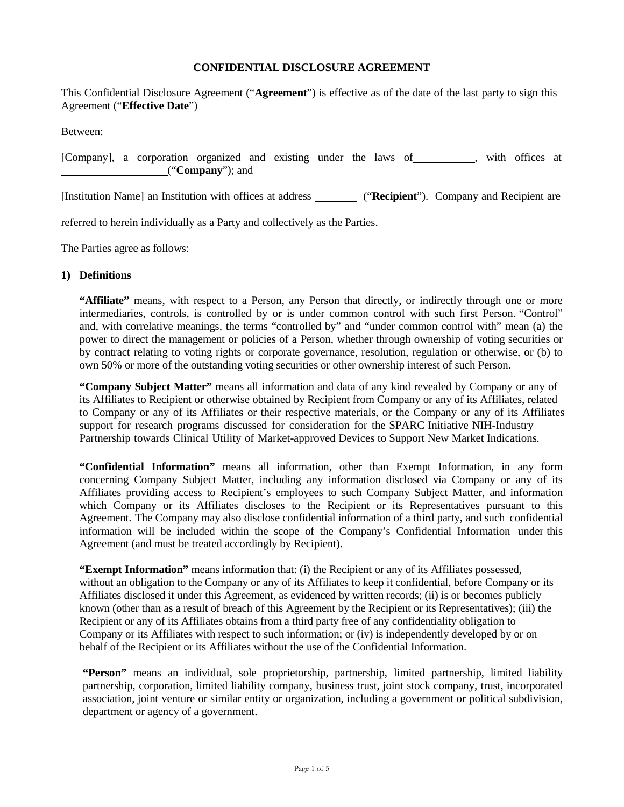### **CONFIDENTIAL DISCLOSURE AGREEMENT**

This Confidential Disclosure Agreement ("**Agreement**") is effective as of the date of the last party to sign this Agreement ("**Effective Date**")

Between:

[Company], a corporation organized and existing under the laws of , with offices at ("**Company**"); and

[Institution Name] an Institution with offices at address ("**Recipient**"). Company and Recipient are

referred to herein individually as a Party and collectively as the Parties.

The Parties agree as follows:

### **1) Definitions**

**"Affiliate"** means, with respect to a Person, any Person that directly, or indirectly through one or more intermediaries, controls, is controlled by or is under common control with such first Person. "Control" and, with correlative meanings, the terms "controlled by" and "under common control with" mean (a) the power to direct the management or policies of a Person, whether through ownership of voting securities or by contract relating to voting rights or corporate governance, resolution, regulation or otherwise, or (b) to own 50% or more of the outstanding voting securities or other ownership interest of such Person.

**"Company Subject Matter"** means all information and data of any kind revealed by Company or any of its Affiliates to Recipient or otherwise obtained by Recipient from Company or any of its Affiliates, related to Company or any of its Affiliates or their respective materials, or the Company or any of its Affiliates support for research programs discussed for consideration for the SPARC Initiative NIH-Industry Partnership towards Clinical Utility of Market-approved Devices to Support New Market Indications.

**"Confidential Information"** means all information, other than Exempt Information, in any form concerning Company Subject Matter, including any information disclosed via Company or any of its Affiliates providing access to Recipient's employees to such Company Subject Matter, and information which Company or its Affiliates discloses to the Recipient or its Representatives pursuant to this Agreement. The Company may also disclose confidential information of a third party, and such confidential information will be included within the scope of the Company's Confidential Information under this Agreement (and must be treated accordingly by Recipient).

**"Exempt Information"** means information that: (i) the Recipient or any of its Affiliates possessed, without an obligation to the Company or any of its Affiliates to keep it confidential, before Company or its Affiliates disclosed it under this Agreement, as evidenced by written records; (ii) is or becomes publicly known (other than as a result of breach of this Agreement by the Recipient or its Representatives); (iii) the Recipient or any of its Affiliates obtains from a third party free of any confidentiality obligation to Company or its Affiliates with respect to such information; or (iv) is independently developed by or on behalf of the Recipient or its Affiliates without the use of the Confidential Information.

**"Person"** means an individual, sole proprietorship, partnership, limited partnership, limited liability partnership, corporation, limited liability company, business trust, joint stock company, trust, incorporated association, joint venture or similar entity or organization, including a government or political subdivision, department or agency of a government.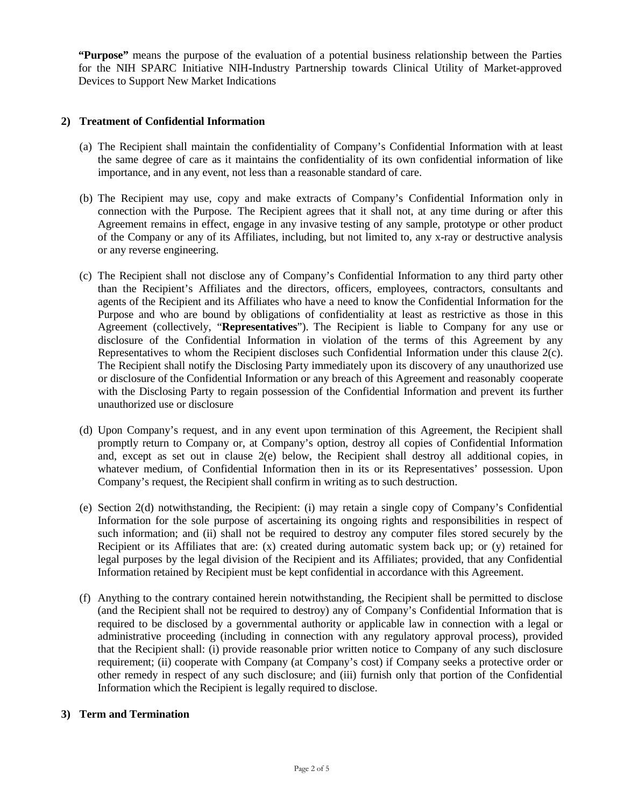**"Purpose"** means the purpose of the evaluation of a potential business relationship between the Parties for the NIH SPARC Initiative NIH-Industry Partnership towards Clinical Utility of Market-approved Devices to Support New Market Indications

# **2) Treatment of Confidential Information**

- (a) The Recipient shall maintain the confidentiality of Company's Confidential Information with at least the same degree of care as it maintains the confidentiality of its own confidential information of like importance, and in any event, not less than a reasonable standard of care.
- (b) The Recipient may use, copy and make extracts of Company's Confidential Information only in connection with the Purpose. The Recipient agrees that it shall not, at any time during or after this Agreement remains in effect, engage in any invasive testing of any sample, prototype or other product of the Company or any of its Affiliates, including, but not limited to, any x-ray or destructive analysis or any reverse engineering.
- (c) The Recipient shall not disclose any of Company's Confidential Information to any third party other than the Recipient's Affiliates and the directors, officers, employees, contractors, consultants and agents of the Recipient and its Affiliates who have a need to know the Confidential Information for the Purpose and who are bound by obligations of confidentiality at least as restrictive as those in this Agreement (collectively, "**Representatives**"). The Recipient is liable to Company for any use or disclosure of the Confidential Information in violation of the terms of this Agreement by any Representatives to whom the Recipient discloses such Confidential Information under this clause 2(c). The Recipient shall notify the Disclosing Party immediately upon its discovery of any unauthorized use or disclosure of the Confidential Information or any breach of this Agreement and reasonably cooperate with the Disclosing Party to regain possession of the Confidential Information and prevent its further unauthorized use or disclosure
- (d) Upon Company's request, and in any event upon termination of this Agreement, the Recipient shall promptly return to Company or, at Company's option, destroy all copies of Confidential Information and, except as set out in clause 2(e) below, the Recipient shall destroy all additional copies, in whatever medium, of Confidential Information then in its or its Representatives' possession. Upon Company's request, the Recipient shall confirm in writing as to such destruction.
- (e) Section 2(d) notwithstanding, the Recipient: (i) may retain a single copy of Company's Confidential Information for the sole purpose of ascertaining its ongoing rights and responsibilities in respect of such information; and (ii) shall not be required to destroy any computer files stored securely by the Recipient or its Affiliates that are: (x) created during automatic system back up; or (y) retained for legal purposes by the legal division of the Recipient and its Affiliates; provided, that any Confidential Information retained by Recipient must be kept confidential in accordance with this Agreement.
- (f) Anything to the contrary contained herein notwithstanding, the Recipient shall be permitted to disclose (and the Recipient shall not be required to destroy) any of Company's Confidential Information that is required to be disclosed by a governmental authority or applicable law in connection with a legal or administrative proceeding (including in connection with any regulatory approval process), provided that the Recipient shall: (i) provide reasonable prior written notice to Company of any such disclosure requirement; (ii) cooperate with Company (at Company's cost) if Company seeks a protective order or other remedy in respect of any such disclosure; and (iii) furnish only that portion of the Confidential Information which the Recipient is legally required to disclose.

# **3) Term and Termination**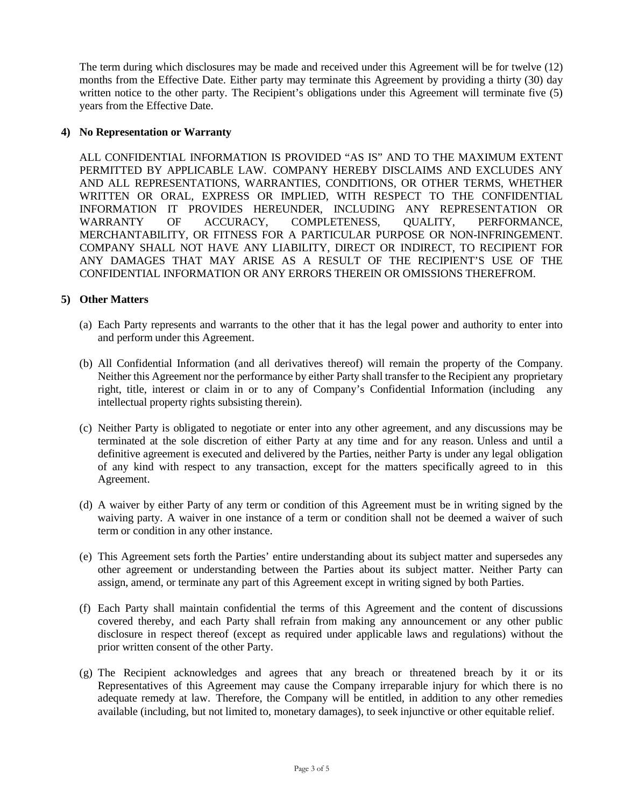The term during which disclosures may be made and received under this Agreement will be for twelve (12) months from the Effective Date. Either party may terminate this Agreement by providing a thirty (30) day written notice to the other party. The Recipient's obligations under this Agreement will terminate five (5) years from the Effective Date.

# **4) No Representation or Warranty**

ALL CONFIDENTIAL INFORMATION IS PROVIDED "AS IS" AND TO THE MAXIMUM EXTENT PERMITTED BY APPLICABLE LAW. COMPANY HEREBY DISCLAIMS AND EXCLUDES ANY AND ALL REPRESENTATIONS, WARRANTIES, CONDITIONS, OR OTHER TERMS, WHETHER WRITTEN OR ORAL, EXPRESS OR IMPLIED, WITH RESPECT TO THE CONFIDENTIAL INFORMATION IT PROVIDES HEREUNDER, INCLUDING ANY REPRESENTATION OR WARRANTY OF ACCURACY, COMPLETENESS, QUALITY, PERFORMANCE, MERCHANTABILITY, OR FITNESS FOR A PARTICULAR PURPOSE OR NON-INFRINGEMENT. COMPANY SHALL NOT HAVE ANY LIABILITY, DIRECT OR INDIRECT, TO RECIPIENT FOR ANY DAMAGES THAT MAY ARISE AS A RESULT OF THE RECIPIENT'S USE OF THE CONFIDENTIAL INFORMATION OR ANY ERRORS THEREIN OR OMISSIONS THEREFROM.

# **5) Other Matters**

- (a) Each Party represents and warrants to the other that it has the legal power and authority to enter into and perform under this Agreement.
- (b) All Confidential Information (and all derivatives thereof) will remain the property of the Company. Neither this Agreement nor the performance by either Party shall transfer to the Recipient any proprietary right, title, interest or claim in or to any of Company's Confidential Information (including any intellectual property rights subsisting therein).
- (c) Neither Party is obligated to negotiate or enter into any other agreement, and any discussions may be terminated at the sole discretion of either Party at any time and for any reason. Unless and until a definitive agreement is executed and delivered by the Parties, neither Party is under any legal obligation of any kind with respect to any transaction, except for the matters specifically agreed to in this Agreement.
- (d) A waiver by either Party of any term or condition of this Agreement must be in writing signed by the waiving party. A waiver in one instance of a term or condition shall not be deemed a waiver of such term or condition in any other instance.
- (e) This Agreement sets forth the Parties' entire understanding about its subject matter and supersedes any other agreement or understanding between the Parties about its subject matter. Neither Party can assign, amend, or terminate any part of this Agreement except in writing signed by both Parties.
- (f) Each Party shall maintain confidential the terms of this Agreement and the content of discussions covered thereby, and each Party shall refrain from making any announcement or any other public disclosure in respect thereof (except as required under applicable laws and regulations) without the prior written consent of the other Party.
- (g) The Recipient acknowledges and agrees that any breach or threatened breach by it or its Representatives of this Agreement may cause the Company irreparable injury for which there is no adequate remedy at law. Therefore, the Company will be entitled, in addition to any other remedies available (including, but not limited to, monetary damages), to seek injunctive or other equitable relief.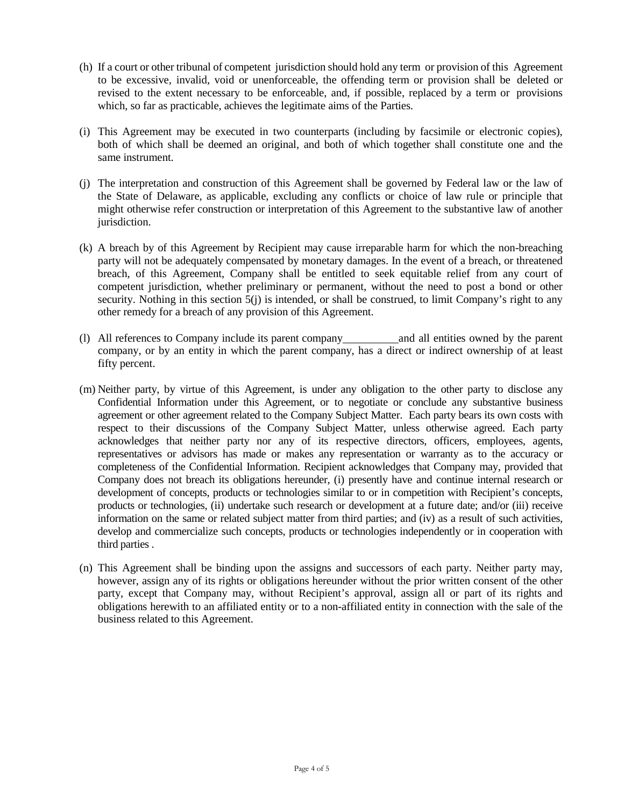- (h) If a court or other tribunal of competent jurisdiction should hold any term or provision of this Agreement to be excessive, invalid, void or unenforceable, the offending term or provision shall be deleted or revised to the extent necessary to be enforceable, and, if possible, replaced by a term or provisions which, so far as practicable, achieves the legitimate aims of the Parties.
- (i) This Agreement may be executed in two counterparts (including by facsimile or electronic copies), both of which shall be deemed an original, and both of which together shall constitute one and the same instrument.
- (j) The interpretation and construction of this Agreement shall be governed by Federal law or the law of the State of Delaware, as applicable, excluding any conflicts or choice of law rule or principle that might otherwise refer construction or interpretation of this Agreement to the substantive law of another jurisdiction.
- (k) A breach by of this Agreement by Recipient may cause irreparable harm for which the non-breaching party will not be adequately compensated by monetary damages. In the event of a breach, or threatened breach, of this Agreement, Company shall be entitled to seek equitable relief from any court of competent jurisdiction, whether preliminary or permanent, without the need to post a bond or other security. Nothing in this section 5(j) is intended, or shall be construed, to limit Company's right to any other remedy for a breach of any provision of this Agreement.
- (l) All references to Company include its parent company and all entities owned by the parent company, or by an entity in which the parent company, has a direct or indirect ownership of at least fifty percent.
- (m) Neither party, by virtue of this Agreement, is under any obligation to the other party to disclose any Confidential Information under this Agreement, or to negotiate or conclude any substantive business agreement or other agreement related to the Company Subject Matter. Each party bears its own costs with respect to their discussions of the Company Subject Matter, unless otherwise agreed. Each party acknowledges that neither party nor any of its respective directors, officers, employees, agents, representatives or advisors has made or makes any representation or warranty as to the accuracy or completeness of the Confidential Information. Recipient acknowledges that Company may, provided that Company does not breach its obligations hereunder, (i) presently have and continue internal research or development of concepts, products or technologies similar to or in competition with Recipient's concepts, products or technologies, (ii) undertake such research or development at a future date; and/or (iii) receive information on the same or related subject matter from third parties; and (iv) as a result of such activities, develop and commercialize such concepts, products or technologies independently or in cooperation with third parties .
- (n) This Agreement shall be binding upon the assigns and successors of each party. Neither party may, however, assign any of its rights or obligations hereunder without the prior written consent of the other party, except that Company may, without Recipient's approval, assign all or part of its rights and obligations herewith to an affiliated entity or to a non-affiliated entity in connection with the sale of the business related to this Agreement.